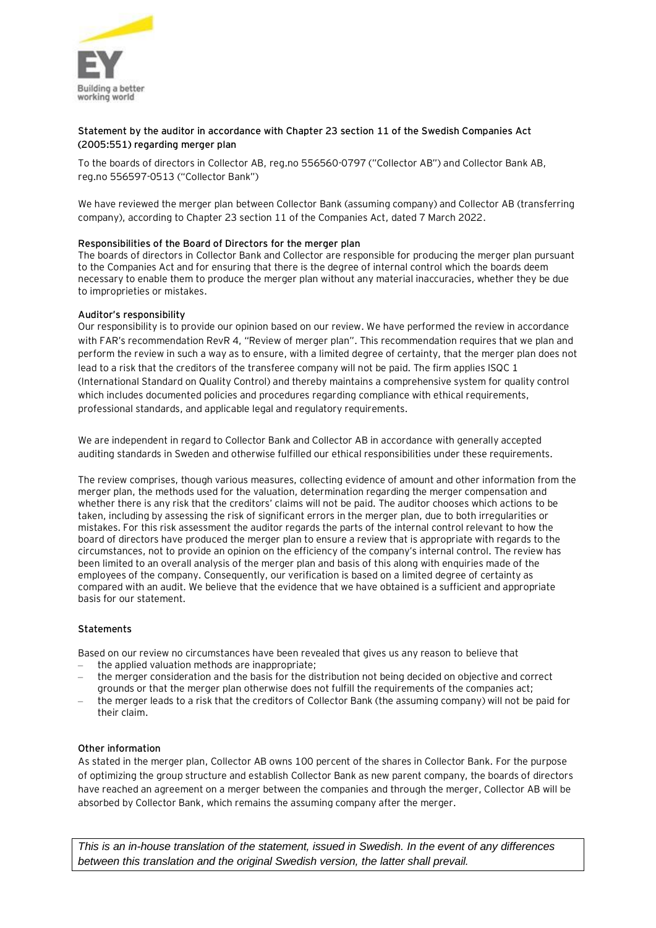

# **Statement by the auditor in accordance with Chapter 23 section 11 of the Swedish Companies Act (2005:551) regarding merger plan**

To the boards of directors in Collector AB, reg.no 556560-0797 ("Collector AB") and Collector Bank AB, reg.no 556597-0513 ("Collector Bank")

We have reviewed the merger plan between Collector Bank (assuming company) and Collector AB (transferring company), according to Chapter 23 section 11 of the Companies Act, dated 7 March 2022.

## **Responsibilities of the Board of Directors for the merger plan**

The boards of directors in Collector Bank and Collector are responsible for producing the merger plan pursuant to the Companies Act and for ensuring that there is the degree of internal control which the boards deem necessary to enable them to produce the merger plan without any material inaccuracies, whether they be due to improprieties or mistakes.

### **Auditor's responsibility**

Our responsibility is to provide our opinion based on our review. We have performed the review in accordance with FAR's recommendation RevR 4, "Review of merger plan". This recommendation requires that we plan and perform the review in such a way as to ensure, with a limited degree of certainty, that the merger plan does not lead to a risk that the creditors of the transferee company will not be paid. The firm applies ISQC 1 (International Standard on Quality Control) and thereby maintains a comprehensive system for quality control which includes documented policies and procedures regarding compliance with ethical requirements, professional standards, and applicable legal and regulatory requirements.

We are independent in regard to Collector Bank and Collector AB in accordance with generally accepted auditing standards in Sweden and otherwise fulfilled our ethical responsibilities under these requirements.

The review comprises, though various measures, collecting evidence of amount and other information from the merger plan, the methods used for the valuation, determination regarding the merger compensation and whether there is any risk that the creditors' claims will not be paid. The auditor chooses which actions to be taken, including by assessing the risk of significant errors in the merger plan, due to both irregularities or mistakes. For this risk assessment the auditor regards the parts of the internal control relevant to how the board of directors have produced the merger plan to ensure a review that is appropriate with regards to the circumstances, not to provide an opinion on the efficiency of the company's internal control. The review has been limited to an overall analysis of the merger plan and basis of this along with enquiries made of the employees of the company. Consequently, our verification is based on a limited degree of certainty as compared with an audit. We believe that the evidence that we have obtained is a sufficient and appropriate basis for our statement.

## **Statements**

Based on our review no circumstances have been revealed that gives us any reason to believe that

- the applied valuation methods are inappropriate;
- the merger consideration and the basis for the distribution not being decided on objective and correct grounds or that the merger plan otherwise does not fulfill the requirements of the companies act;
- the merger leads to a risk that the creditors of Collector Bank (the assuming company) will not be paid for their claim.

#### **Other information**

As stated in the merger plan, Collector AB owns 100 percent of the shares in Collector Bank. For the purpose of optimizing the group structure and establish Collector Bank as new parent company, the boards of directors have reached an agreement on a merger between the companies and through the merger, Collector AB will be absorbed by Collector Bank, which remains the assuming company after the merger.

*This is an in-house translation of the statement, issued in Swedish. In the event of any differences between this translation and the original Swedish version, the latter shall prevail.*